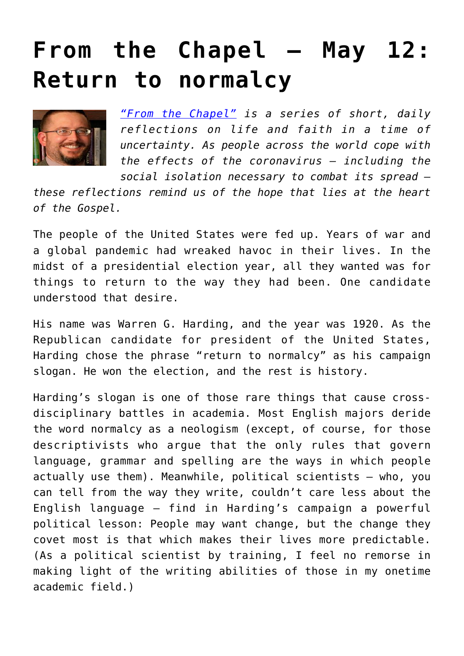## **[From the Chapel — May 12:](https://www.osvnews.com/2020/05/12/from-the-chapel-may-12-return-to-normalcy/) [Return to normalcy](https://www.osvnews.com/2020/05/12/from-the-chapel-may-12-return-to-normalcy/)**



*["From the Chapel"](https://www.osvnews.com/tag/from-the-chapel/) is a series of short, daily reflections on life and faith in a time of uncertainty. As people across the world cope with the effects of the coronavirus — including the social isolation necessary to combat its spread —*

*these reflections remind us of the hope that lies at the heart of the Gospel.*

The people of the United States were fed up. Years of war and a global pandemic had wreaked havoc in their lives. In the midst of a presidential election year, all they wanted was for things to return to the way they had been. One candidate understood that desire.

His name was Warren G. Harding, and the year was 1920. As the Republican candidate for president of the United States, Harding chose the phrase "return to normalcy" as his campaign slogan. He won the election, and the rest is history.

Harding's slogan is one of those rare things that cause crossdisciplinary battles in academia. Most English majors deride the word normalcy as a neologism (except, of course, for those descriptivists who argue that the only rules that govern language, grammar and spelling are the ways in which people actually use them). Meanwhile, political scientists — who, you can tell from the way they write, couldn't care less about the English language — find in Harding's campaign a powerful political lesson: People may want change, but the change they covet most is that which makes their lives more predictable. (As a political scientist by training, I feel no remorse in making light of the writing abilities of those in my onetime academic field.)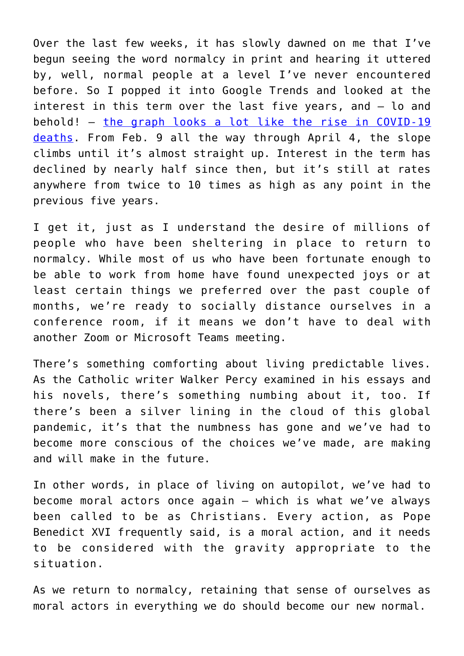Over the last few weeks, it has slowly dawned on me that I've begun seeing the word normalcy in print and hearing it uttered by, well, normal people at a level I've never encountered before. So I popped it into Google Trends and looked at the interest in this term over the last five years, and — lo and behold! — [the graph looks a lot like the rise in COVID-19](https://trends.google.com/trends/explore?date=today%205-y&geo=US&q=Normalcy) [deaths](https://trends.google.com/trends/explore?date=today%205-y&geo=US&q=Normalcy). From Feb. 9 all the way through April 4, the slope climbs until it's almost straight up. Interest in the term has declined by nearly half since then, but it's still at rates anywhere from twice to 10 times as high as any point in the previous five years.

I get it, just as I understand the desire of millions of people who have been sheltering in place to return to normalcy. While most of us who have been fortunate enough to be able to work from home have found unexpected joys or at least certain things we preferred over the past couple of months, we're ready to socially distance ourselves in a conference room, if it means we don't have to deal with another Zoom or Microsoft Teams meeting.

There's something comforting about living predictable lives. As the Catholic writer Walker Percy examined in his essays and his novels, there's something numbing about it, too. If there's been a silver lining in the cloud of this global pandemic, it's that the numbness has gone and we've had to become more conscious of the choices we've made, are making and will make in the future.

In other words, in place of living on autopilot, we've had to become moral actors once again — which is what we've always been called to be as Christians. Every action, as Pope Benedict XVI frequently said, is a moral action, and it needs to be considered with the gravity appropriate to the situation.

As we return to normalcy, retaining that sense of ourselves as moral actors in everything we do should become our new normal.